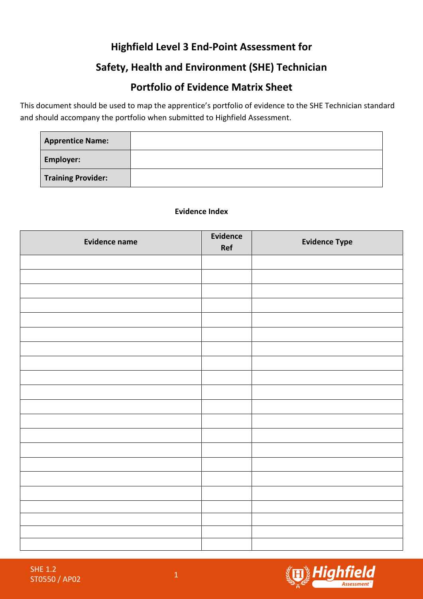## **Highfield Level 3 End-Point Assessment for**

### **Safety, Health and Environment (SHE) Technician**

# **Portfolio of Evidence Matrix Sheet**

This document should be used to map the apprentice's portfolio of evidence to the SHE Technician standard and should accompany the portfolio when submitted to Highfield Assessment.

| <b>Apprentice Name:</b>   |  |
|---------------------------|--|
| <b>Employer:</b>          |  |
| <b>Training Provider:</b> |  |

### **Evidence Index**

| <b>Evidence name</b> | <b>Evidence</b><br>Ref | <b>Evidence Type</b> |
|----------------------|------------------------|----------------------|
|                      |                        |                      |
|                      |                        |                      |
|                      |                        |                      |
|                      |                        |                      |
|                      |                        |                      |
|                      |                        |                      |
|                      |                        |                      |
|                      |                        |                      |
|                      |                        |                      |
|                      |                        |                      |
|                      |                        |                      |
|                      |                        |                      |
|                      |                        |                      |
|                      |                        |                      |
|                      |                        |                      |
|                      |                        |                      |
|                      |                        |                      |
|                      |                        |                      |
|                      |                        |                      |
|                      |                        |                      |
|                      |                        |                      |

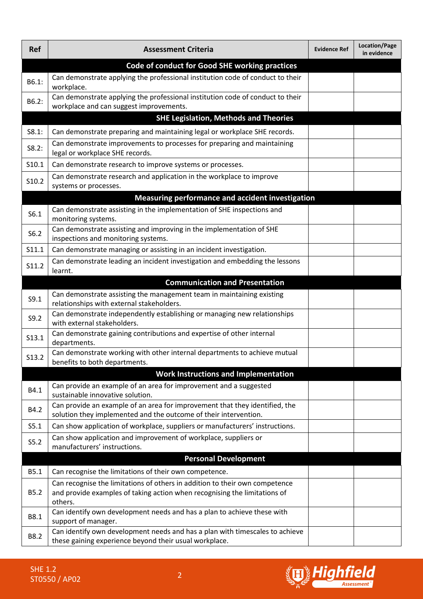| <b>Ref</b>                                     | <b>Assessment Criteria</b>                                                                                                                                          | <b>Evidence Ref</b> | Location/Page<br>in evidence |  |  |  |
|------------------------------------------------|---------------------------------------------------------------------------------------------------------------------------------------------------------------------|---------------------|------------------------------|--|--|--|
| Code of conduct for Good SHE working practices |                                                                                                                                                                     |                     |                              |  |  |  |
| B6.1:                                          | Can demonstrate applying the professional institution code of conduct to their<br>workplace.                                                                        |                     |                              |  |  |  |
| B6.2:                                          | Can demonstrate applying the professional institution code of conduct to their<br>workplace and can suggest improvements.                                           |                     |                              |  |  |  |
|                                                | <b>SHE Legislation, Methods and Theories</b>                                                                                                                        |                     |                              |  |  |  |
| S8.1:                                          | Can demonstrate preparing and maintaining legal or workplace SHE records.                                                                                           |                     |                              |  |  |  |
| S8.2:                                          | Can demonstrate improvements to processes for preparing and maintaining<br>legal or workplace SHE records.                                                          |                     |                              |  |  |  |
| S10.1                                          | Can demonstrate research to improve systems or processes.                                                                                                           |                     |                              |  |  |  |
| S10.2                                          | Can demonstrate research and application in the workplace to improve<br>systems or processes.                                                                       |                     |                              |  |  |  |
|                                                | Measuring performance and accident investigation                                                                                                                    |                     |                              |  |  |  |
| S6.1                                           | Can demonstrate assisting in the implementation of SHE inspections and<br>monitoring systems.                                                                       |                     |                              |  |  |  |
| S6.2                                           | Can demonstrate assisting and improving in the implementation of SHE<br>inspections and monitoring systems.                                                         |                     |                              |  |  |  |
| S11.1                                          | Can demonstrate managing or assisting in an incident investigation.                                                                                                 |                     |                              |  |  |  |
| S11.2                                          | Can demonstrate leading an incident investigation and embedding the lessons<br>learnt.                                                                              |                     |                              |  |  |  |
|                                                | <b>Communication and Presentation</b>                                                                                                                               |                     |                              |  |  |  |
| S9.1                                           | Can demonstrate assisting the management team in maintaining existing<br>relationships with external stakeholders.                                                  |                     |                              |  |  |  |
| S9.2                                           | Can demonstrate independently establishing or managing new relationships<br>with external stakeholders.                                                             |                     |                              |  |  |  |
| S13.1                                          | Can demonstrate gaining contributions and expertise of other internal<br>departments.                                                                               |                     |                              |  |  |  |
| S13.2                                          | Can demonstrate working with other internal departments to achieve mutual<br>benefits to both departments.                                                          |                     |                              |  |  |  |
|                                                | <b>Work Instructions and Implementation</b>                                                                                                                         |                     |                              |  |  |  |
| B4.1                                           | Can provide an example of an area for improvement and a suggested<br>sustainable innovative solution.                                                               |                     |                              |  |  |  |
| B4.2                                           | Can provide an example of an area for improvement that they identified, the<br>solution they implemented and the outcome of their intervention.                     |                     |                              |  |  |  |
| S5.1                                           | Can show application of workplace, suppliers or manufacturers' instructions.                                                                                        |                     |                              |  |  |  |
| S5.2                                           | Can show application and improvement of workplace, suppliers or<br>manufacturers' instructions.                                                                     |                     |                              |  |  |  |
|                                                | <b>Personal Development</b>                                                                                                                                         |                     |                              |  |  |  |
| B5.1                                           | Can recognise the limitations of their own competence.                                                                                                              |                     |                              |  |  |  |
| <b>B5.2</b>                                    | Can recognise the limitations of others in addition to their own competence<br>and provide examples of taking action when recognising the limitations of<br>others. |                     |                              |  |  |  |
| B8.1                                           | Can identify own development needs and has a plan to achieve these with<br>support of manager.                                                                      |                     |                              |  |  |  |
| B8.2                                           | Can identify own development needs and has a plan with timescales to achieve<br>these gaining experience beyond their usual workplace.                              |                     |                              |  |  |  |